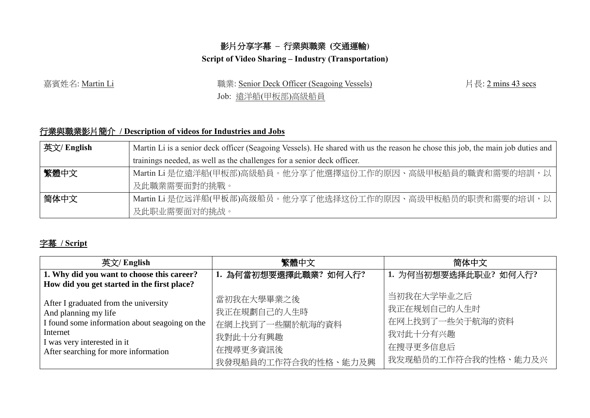## 影片分享字幕 **–** 行業與職業 **(**交通運輸**)**

## **Script of Video Sharing – Industry (Transportation)**

嘉賓姓名: Martin Li 職業: Senior Deck Officer (Seagoing Vessels)

Job: 遠洋船(甲板部)高級船員

片長: 2 mins 43 secs

## 行業與職業影片簡介 **/ Description of videos for Industries and Jobs**

| 英文/ English | Martin Li is a senior deck officer (Seagoing Vessels). He shared with us the reason he chose this job, the main job duties and |  |  |
|-------------|--------------------------------------------------------------------------------------------------------------------------------|--|--|
|             | trainings needed, as well as the challenges for a senior deck officer.                                                         |  |  |
| 繁體中文        | Martin Li 是位遠洋船(甲板部)高級船員。他分享了他選擇這份工作的原因、高級甲板船員的職責和需要的培訓,以                                                                      |  |  |
|             | 及此職業需要面對的挑戰。                                                                                                                   |  |  |
| 简体中文        | Martin Li 是位远洋船(甲板部)高级船员。他分享了他选择这份工作的原因、高级甲板船员的职责和需要的培训,以                                                                      |  |  |
|             | 及此职业需要面对的挑战。                                                                                                                   |  |  |

## 字幕 **/ Script**

| 英文/ English                                    | 繁體中文                  | 简体中文                  |
|------------------------------------------------|-----------------------|-----------------------|
| 1. Why did you want to choose this career?     | 1. 為何當初想要選擇此職業? 如何入行? | 1. 为何当初想要选择此职业? 如何入行? |
| How did you get started in the first place?    |                       |                       |
| After I graduated from the university          | 當初我在大學畢業之後            | 当初我在大学毕业之后            |
| And planning my life                           | 我正在規劃自己的人生時           | 我正在规划自己的人生时           |
| I found some information about seagoing on the | 在網上找到了一些關於航海的資料       | 在网上找到了一些关于航海的资料       |
| Internet<br>I was very interested in it        | 我對此十分有興趣              | 我对此十分有兴趣              |
| After searching for more information           | 在搜尋更多資訊後              | 在搜寻更多信息后              |
|                                                | 我發現船員的工作符合我的性格、能力及興   | 我发现船员的工作符合我的性格、能力及兴   |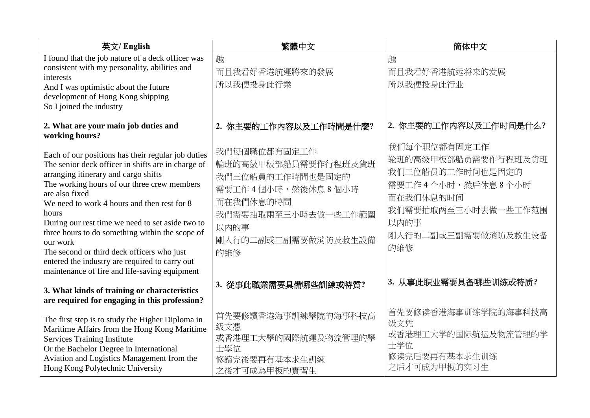| 英文/ English                                                                                                                                                                                                                                                                                                                                                                                                                                                                                                                                   | 繁體中文                                                                                                                                                   | 简体中文                                                                                                                                                   |
|-----------------------------------------------------------------------------------------------------------------------------------------------------------------------------------------------------------------------------------------------------------------------------------------------------------------------------------------------------------------------------------------------------------------------------------------------------------------------------------------------------------------------------------------------|--------------------------------------------------------------------------------------------------------------------------------------------------------|--------------------------------------------------------------------------------------------------------------------------------------------------------|
| I found that the job nature of a deck officer was<br>consistent with my personality, abilities and<br>interests<br>And I was optimistic about the future<br>development of Hong Kong shipping<br>So I joined the industry                                                                                                                                                                                                                                                                                                                     | 趣<br>而且我看好香港航運將來的發展<br>所以我便投身此行業                                                                                                                       | 趣<br>而且我看好香港航运将来的发展<br>所以我便投身此行业                                                                                                                       |
| 2. What are your main job duties and<br>working hours?                                                                                                                                                                                                                                                                                                                                                                                                                                                                                        | 2. 你主要的工作内容以及工作時間是什麼?                                                                                                                                  | 2. 你主要的工作内容以及工作时间是什么?                                                                                                                                  |
| Each of our positions has their regular job duties<br>The senior deck officer in shifts are in charge of<br>arranging itinerary and cargo shifts<br>The working hours of our three crew members<br>are also fixed<br>We need to work 4 hours and then rest for 8<br>hours<br>During our rest time we need to set aside two to<br>three hours to do something within the scope of<br>our work<br>The second or third deck officers who just<br>entered the industry are required to carry out<br>maintenance of fire and life-saving equipment | 我們每個職位都有固定工作<br>輪班的高級甲板部船員需要作行程班及貨班<br>我們三位船員的工作時間也是固定的<br>需要工作4個小時,然後休息8個小時<br>而在我們休息的時間<br>我們需要抽取兩至三小時去做一些工作範圍<br>以内的事<br>剛入行的二副或三副需要做消防及救生設備<br>的維修 | 我们每个职位都有固定工作<br>轮班的高级甲板部船员需要作行程班及货班<br>我们三位船员的工作时间也是固定的<br>需要工作4个小时,然后休息8个小时<br>而在我们休息的时间<br>我们需要抽取两至三小时去做一些工作范围<br>以内的事<br>刚入行的二副或三副需要做消防及救生设备<br>的维修 |
| 3. What kinds of training or characteristics<br>are required for engaging in this profession?                                                                                                                                                                                                                                                                                                                                                                                                                                                 | 3. 從事此職業需要具備哪些訓練或特質?                                                                                                                                   | 3. 从事此职业需要具备哪些训练或特质?                                                                                                                                   |
| The first step is to study the Higher Diploma in<br>Maritime Affairs from the Hong Kong Maritime<br><b>Services Training Institute</b><br>Or the Bachelor Degree in International<br>Aviation and Logistics Management from the<br>Hong Kong Polytechnic University                                                                                                                                                                                                                                                                           | 首先要修讀香港海事訓練學院的海事科技高<br>級文憑<br>或香港理工大學的國際航運及物流管理的學<br>士學位<br>修讀完後要再有基本求生訓練<br>之後才可成為甲板的實習生                                                              | 首先要修读香港海事训练学院的海事科技高<br>级文凭<br>或香港理工大学的国际航运及物流管理的学<br>士学位<br>修读完后要再有基本求生训练<br>之后才可成为甲板的实习生                                                              |